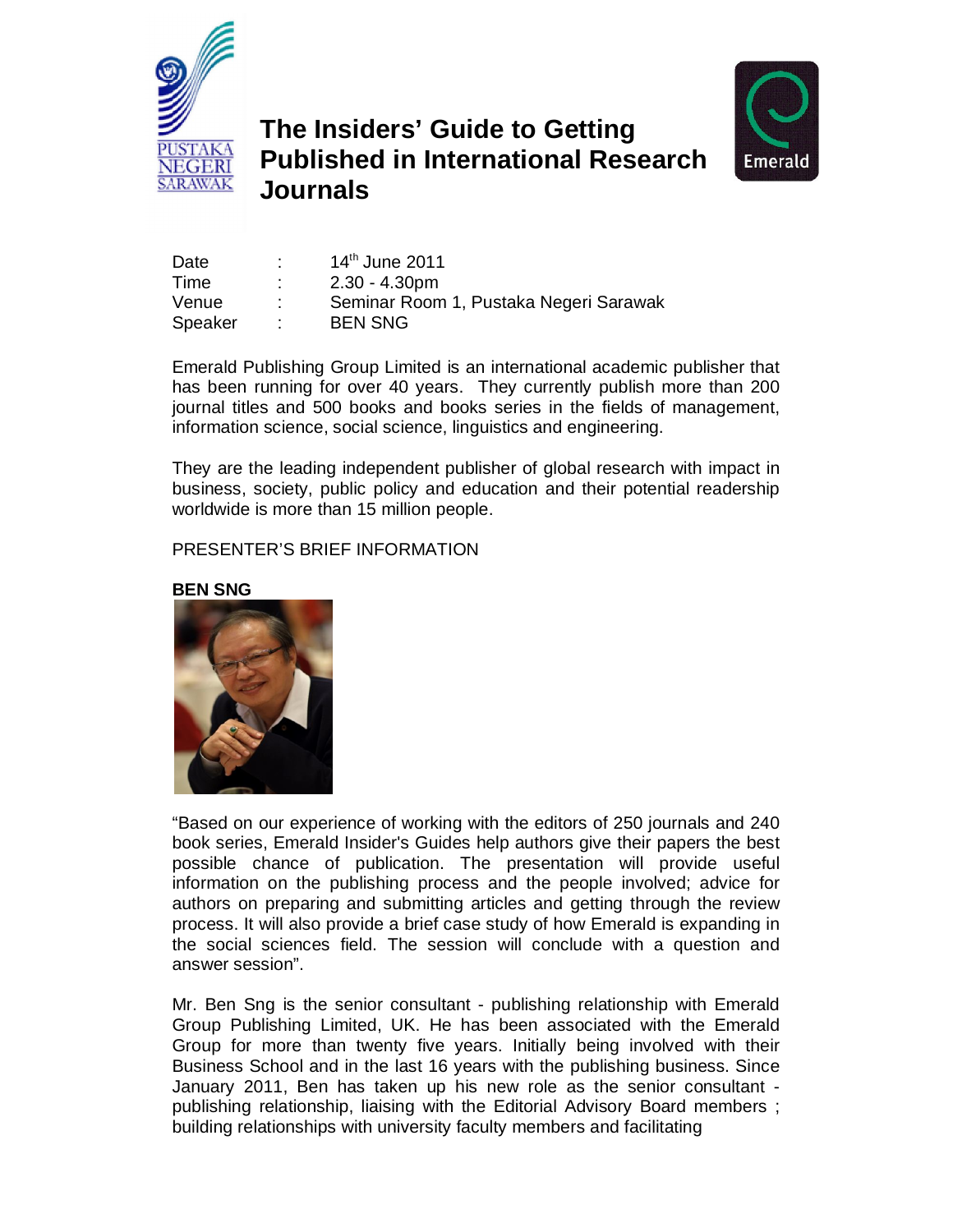

## **The Insiders' Guide to Getting Published in International Research Journals**



| Date    | 14th June 2011                         |
|---------|----------------------------------------|
| Time    | $2.30 - 4.30pm$                        |
| Venue   | Seminar Room 1, Pustaka Negeri Sarawak |
| Speaker | <b>BEN SNG</b>                         |

**Emerald Publishing Group Limited is an international academic publisher that has been running for over 40 years. They currently publish more than 200 journal titles and 500 books and books series in the fields of management, information science, social science, linguistics and engineering.** 

**They are the leading independent publisher of global research with impact in business, society, public policy and education and their potential readership worldwide is more than 15 million people.**

## **PRESENTER'S BRIEF INFORMATION**





**"Based on our experience of working with the editors of 250 journals and 240 book series, Emerald Insider's Guides help authors give their papers the best possible chance of publication. The presentation will provide useful information on the publishing process and the people involved; advice for authors on preparing and submitting articles and getting through the review process. It will also provide a brief case study of how Emerald is expanding in the social sciences field. The session will conclude with a question and answer session".**

**Mr. Ben Sng is the senior consultant - publishing relationship with Emerald Group Publishing Limited, UK. He has been associated with the Emerald Group for more than twenty five years. Initially being involved with their Business School and in the last 16 years with the publishing business. Since January 2011, Ben has taken up his new role as the senior consultant publishing relationship, liaising with the Editorial Advisory Board members ; building relationships with university faculty members and facilitating**